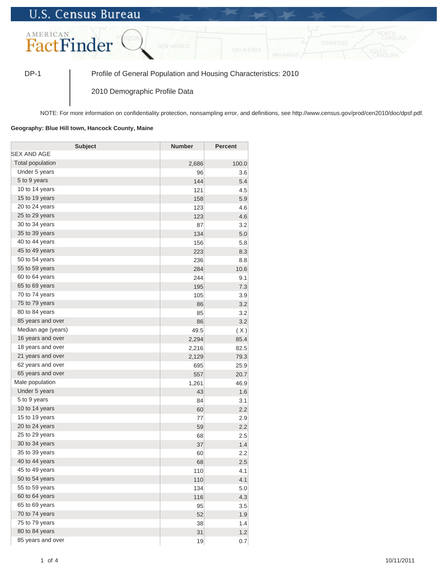## **U.S. Census Bureau**



DP-1 Profile of General Population and Housing Characteristics: 2010

2010 Demographic Profile Data

NOTE: For more information on confidentiality protection, nonsampling error, and definitions, see http://www.census.gov/prod/cen2010/doc/dpsf.pdf.

## **Geography: Blue Hill town, Hancock County, Maine**

| <b>Subject</b>     | <b>Number</b> | <b>Percent</b> |
|--------------------|---------------|----------------|
| SEX AND AGE        |               |                |
| Total population   | 2,686         | 100.0          |
| Under 5 years      | 96            | 3.6            |
| 5 to 9 years       | 144           | 5.4            |
| 10 to 14 years     | 121           | 4.5            |
| 15 to 19 years     | 158           | 5.9            |
| 20 to 24 years     | 123           | 4.6            |
| 25 to 29 years     | 123           | 4.6            |
| 30 to 34 years     | 87            | 3.2            |
| 35 to 39 years     | 134           | 5.0            |
| 40 to 44 years     | 156           | 5.8            |
| 45 to 49 years     | 223           | 8.3            |
| 50 to 54 years     | 236           | 8.8            |
| 55 to 59 years     | 284           | 10.6           |
| 60 to 64 years     | 244           | 9.1            |
| 65 to 69 years     | 195           | 7.3            |
| 70 to 74 years     | 105           | 3.9            |
| 75 to 79 years     | 86            | 3.2            |
| 80 to 84 years     | 85            | 3.2            |
| 85 years and over  | 86            | 3.2            |
| Median age (years) | 49.5          | (X)            |
| 16 years and over  | 2,294         | 85.4           |
| 18 years and over  | 2,216         | 82.5           |
| 21 years and over  | 2,129         | 79.3           |
| 62 years and over  | 695           | 25.9           |
| 65 years and over  | 557           | 20.7           |
| Male population    | 1,261         | 46.9           |
| Under 5 years      | 43            | 1.6            |
| 5 to 9 years       | 84            | 3.1            |
| 10 to 14 years     | 60            | 2.2            |
| 15 to 19 years     | 77            | 2.9            |
| 20 to 24 years     | 59            | 2.2            |
| 25 to 29 years     | 68            | 2.5            |
| 30 to 34 years     | 37            | 1.4            |
| 35 to 39 years     | 60            | 2.2            |
| 40 to 44 years     | 68            | 2.5            |
| 45 to 49 years     | 110           | 4.1            |
| 50 to 54 years     | 110           | 4.1            |
| 55 to 59 years     | 134           | 5.0            |
| 60 to 64 years     | 116           | 4.3            |
| 65 to 69 years     | 95            | 3.5            |
| 70 to 74 years     | 52            | 1.9            |
| 75 to 79 years     | 38            | 1.4            |
| 80 to 84 years     | 31            | 1.2            |
| 85 years and over  | 19            | 0.7            |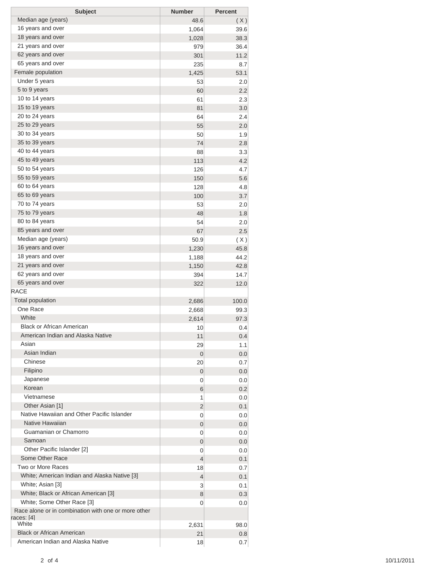| <b>Subject</b>                                                    | <b>Number</b> | <b>Percent</b> |
|-------------------------------------------------------------------|---------------|----------------|
| Median age (years)                                                | 48.6          | (X)            |
| 16 years and over                                                 | 1,064         | 39.6           |
| 18 years and over                                                 | 1,028         | 38.3           |
| 21 years and over                                                 | 979           | 36.4           |
| 62 years and over                                                 | 301           | 11.2           |
| 65 years and over                                                 | 235           | 8.7            |
| Female population                                                 | 1,425         | 53.1           |
| Under 5 years                                                     | 53            | 2.0            |
| 5 to 9 years                                                      | 60            | 2.2            |
| 10 to 14 years                                                    | 61            | 2.3            |
| 15 to 19 years                                                    | 81            | 3.0            |
| 20 to 24 years                                                    | 64            | 2.4            |
| 25 to 29 years                                                    | 55            | 2.0            |
| 30 to 34 years                                                    |               |                |
| 35 to 39 years                                                    | 50            | 1.9            |
| 40 to 44 years                                                    | 74            | 2.8            |
| 45 to 49 years                                                    | 88            | 3.3            |
|                                                                   | 113           | 4.2            |
| 50 to 54 years                                                    | 126           | 4.7            |
| 55 to 59 years                                                    | 150           | 5.6            |
| 60 to 64 years                                                    | 128           | 4.8            |
| 65 to 69 years                                                    | 100           | 3.7            |
| 70 to 74 years                                                    | 53            | 2.0            |
| 75 to 79 years                                                    | 48            | 1.8            |
| 80 to 84 years                                                    | 54            | 2.0            |
| 85 years and over                                                 | 67            | 2.5            |
| Median age (years)                                                | 50.9          | (X)            |
| 16 years and over                                                 | 1,230         | 45.8           |
| 18 years and over                                                 | 1,188         | 44.2           |
| 21 years and over                                                 | 1,150         | 42.8           |
| 62 years and over                                                 | 394           | 14.7           |
| 65 years and over                                                 | 322           | 12.0           |
| <b>RACE</b>                                                       |               |                |
| <b>Total population</b>                                           | 2,686         | 100.0          |
| One Race                                                          | 2,668         | 99.3           |
| White                                                             | 2,614         | 97.3           |
| <b>Black or African American</b>                                  | 10            | 0.4            |
| American Indian and Alaska Native                                 | 11            | 0.4            |
| Asian                                                             | 29            | 1.1            |
| Asian Indian                                                      | 0             | 0.0            |
| Chinese                                                           | 20            | 0.7            |
| Filipino                                                          | 0             | 0.0            |
| Japanese                                                          | 0             | 0.0            |
| Korean                                                            | 6             | 0.2            |
| Vietnamese                                                        | 1             | 0.0            |
| Other Asian [1]                                                   | 2             | 0.1            |
| Native Hawaiian and Other Pacific Islander                        | 0             | 0.0            |
| Native Hawaiian                                                   | 0             | 0.0            |
| Guamanian or Chamorro                                             | 0             | 0.0            |
| Samoan                                                            | 0             | 0.0            |
| Other Pacific Islander [2]                                        | 0             |                |
| Some Other Race                                                   |               | 0.0            |
| Two or More Races                                                 | 4             | 0.1            |
| White; American Indian and Alaska Native [3]                      | 18            | 0.7            |
|                                                                   | 4             | 0.1            |
| White; Asian [3]                                                  | 3             | 0.1            |
| White; Black or African American [3]                              | 8             | 0.3            |
| White; Some Other Race [3]                                        | 0             | 0.0            |
| Race alone or in combination with one or more other<br>races: [4] |               |                |
| White                                                             | 2,631         | 98.0           |
| <b>Black or African American</b>                                  | 21            | 0.8            |
| American Indian and Alaska Native                                 | 18            | 0.7            |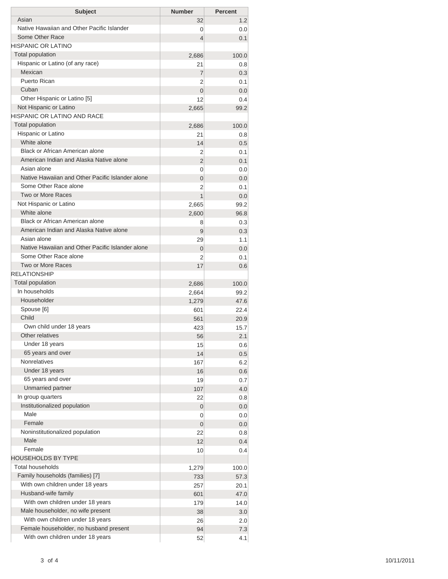|                                                  | <b>Number</b>  | <b>Percent</b> |
|--------------------------------------------------|----------------|----------------|
| Asian                                            | 32             | 1.2            |
| Native Hawaiian and Other Pacific Islander       | 0              | 0.0            |
| Some Other Race                                  | 4              | 0.1            |
| <b>HISPANIC OR LATINO</b>                        |                |                |
| <b>Total population</b>                          | 2,686          | 100.0          |
| Hispanic or Latino (of any race)                 | 21             | 0.8            |
| Mexican                                          | $\overline{7}$ | 0.3            |
| Puerto Rican                                     | 2              | 0.1            |
| Cuban                                            | $\overline{0}$ | 0.0            |
| Other Hispanic or Latino [5]                     | 12             | 0.4            |
| Not Hispanic or Latino                           | 2,665          | 99.2           |
| <b>HISPANIC OR LATINO AND RACE</b>               |                |                |
| <b>Total population</b>                          | 2,686          | 100.0          |
| Hispanic or Latino                               | 21             | 0.8            |
| White alone                                      | 14             | 0.5            |
| <b>Black or African American alone</b>           | 2              | 0.1            |
| American Indian and Alaska Native alone          | 2              | 0.1            |
| Asian alone                                      | 0              | 0.0            |
| Native Hawaiian and Other Pacific Islander alone | $\overline{0}$ | 0.0            |
| Some Other Race alone                            | 2              | 0.1            |
| Two or More Races                                | 1              | 0.0            |
| Not Hispanic or Latino                           | 2,665          | 99.2           |
| White alone                                      | 2,600          | 96.8           |
| Black or African American alone                  | 8              | 0.3            |
| American Indian and Alaska Native alone          | 9              | 0.3            |
| Asian alone                                      | 29             | 1.1            |
| Native Hawaiian and Other Pacific Islander alone | $\overline{0}$ | 0.0            |
| Some Other Race alone                            | 2              | 0.1            |
| Two or More Races                                | 17             | 0.6            |
| <b>RELATIONSHIP</b>                              |                |                |
| <b>Total population</b>                          | 2,686          | 100.0          |
| In households                                    | 2,664          | 99.2           |
| Householder                                      | 1,279          | 47.6           |
| Spouse [6]                                       | 601            | 22.4           |
| Child                                            | 561            | 20.9           |
| Own child under 18 years                         | 423            | 15.7           |
| Other relatives                                  | 56             | 2.1            |
| Under 18 years                                   | 15             | 0.6            |
| 65 years and over                                | 14             | 0.5            |
| <b>Nonrelatives</b>                              | 167            | 6.2            |
| Under 18 years                                   | 16             | 0.6            |
| 65 years and over                                | 19             | 0.7            |
| Unmarried partner                                | 107            | 4.0            |
| In group quarters                                | 22             | 0.8            |
| Institutionalized population                     | 0              | 0.0            |
| Male                                             | 0              | 0.0            |
| Female                                           | 0              | 0.0            |
| Noninstitutionalized population                  | 22             | 0.8            |
| Male                                             | 12             | 0.4            |
|                                                  | 10             | 0.4            |
| Female                                           |                |                |
| <b>HOUSEHOLDS BY TYPE</b>                        |                |                |
| <b>Total households</b>                          | 1,279          | 100.0          |
| Family households (families) [7]                 | 733            | 57.3           |
| With own children under 18 years                 | 257            | 20.1           |
| Husband-wife family                              | 601            | 47.0           |
| With own children under 18 years                 | 179            | 14.0           |
| Male householder, no wife present                | 38             | 3.0            |
| With own children under 18 years                 | 26             | 2.0            |
| Female householder, no husband present           | 94             | 7.3            |